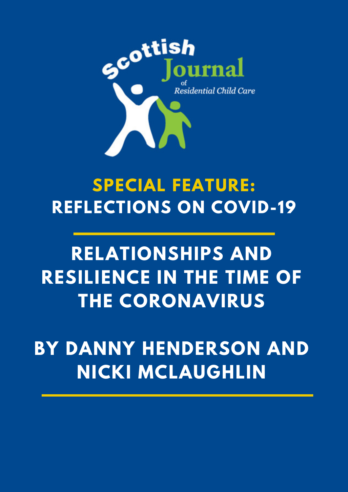

## **SPECIAL FEATURE: REFLECTIONS ON COVID-19**

# **RELATIONSHIPS AND RESILIENCE IN THE TIME OF THE CORONAVIRUS**

**BY DANNY HENDERSON AND NICKI MCLAUGHLIN**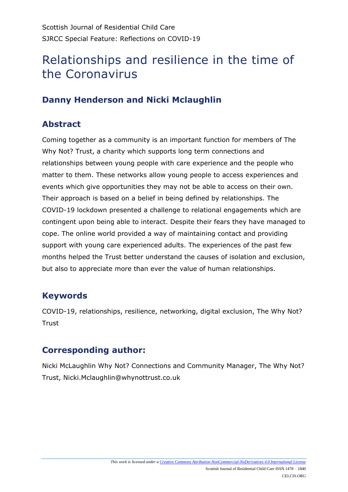### Relationships and resilience in the time of the Coronavirus

#### **Danny Henderson and Nicki Mclaughlin**

#### **Abstract**

Coming together as a community is an important function for members of The Why Not? Trust, a charity which supports long term connections and relationships between young people with care experience and the people who matter to them. These networks allow young people to access experiences and events which give opportunities they may not be able to access on their own. Their approach is based on a belief in being defined by relationships. The COVID-19 lockdown presented a challenge to relational engagements which are contingent upon being able to interact. Despite their fears they have managed to cope. The online world provided a way of maintaining contact and providing support with young care experienced adults. The experiences of the past few months helped the Trust better understand the causes of isolation and exclusion, but also to appreciate more than ever the value of human relationships.

#### **Keywords**

COVID-19, relationships, resilience, networking, digital exclusion, The Why Not? **Trust** 

#### **Corresponding author:**

Nicki McLaughlin Why Not? Connections and Community Manager, The Why Not? Trust, Nicki.Mclaughlin@whynottrust.co.uk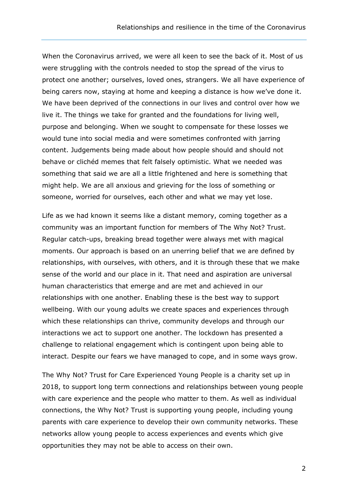When the Coronavirus arrived, we were all keen to see the back of it. Most of us were struggling with the controls needed to stop the spread of the virus to protect one another; ourselves, loved ones, strangers. We all have experience of being carers now, staying at home and keeping a distance is how we've done it. We have been deprived of the connections in our lives and control over how we live it. The things we take for granted and the foundations for living well, purpose and belonging. When we sought to compensate for these losses we would tune into social media and were sometimes confronted with jarring content. Judgements being made about how people should and should not behave or clichéd memes that felt falsely optimistic. What we needed was something that said we are all a little frightened and here is something that might help. We are all anxious and grieving for the loss of something or someone, worried for ourselves, each other and what we may yet lose.

Life as we had known it seems like a distant memory, coming together as a community was an important function for members of The Why Not? Trust. Regular catch-ups, breaking bread together were always met with magical moments. Our approach is based on an unerring belief that we are defined by relationships, with ourselves, with others, and it is through these that we make sense of the world and our place in it. That need and aspiration are universal human characteristics that emerge and are met and achieved in our relationships with one another. Enabling these is the best way to support wellbeing. With our young adults we create spaces and experiences through which these relationships can thrive, community develops and through our interactions we act to support one another. The lockdown has presented a challenge to relational engagement which is contingent upon being able to interact. Despite our fears we have managed to cope, and in some ways grow.

The Why Not? Trust for Care Experienced Young People is a charity set up in 2018, to support long term connections and relationships between young people with care experience and the people who matter to them. As well as individual connections, the Why Not? Trust is supporting young people, including young parents with care experience to develop their own community networks. These networks allow young people to access experiences and events which give opportunities they may not be able to access on their own.

2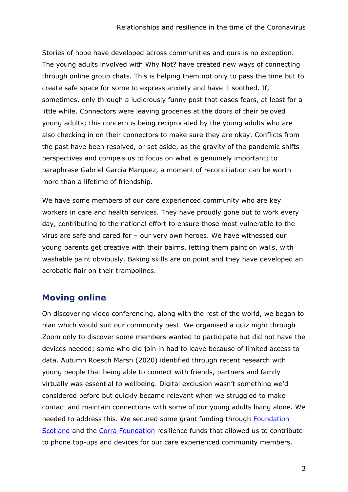Stories of hope have developed across communities and ours is no exception. The young adults involved with Why Not? have created new ways of connecting through online group chats. This is helping them not only to pass the time but to create safe space for some to express anxiety and have it soothed. If, sometimes, only through a ludicrously funny post that eases fears, at least for a little while. Connectors were leaving groceries at the doors of their beloved young adults; this concern is being reciprocated by the young adults who are also checking in on their connectors to make sure they are okay. Conflicts from the past have been resolved, or set aside, as the gravity of the pandemic shifts perspectives and compels us to focus on what is genuinely important; to paraphrase Gabriel Garcia Marquez, a moment of reconciliation can be worth more than a lifetime of friendship.

We have some members of our care experienced community who are key workers in care and health services. They have proudly gone out to work every day, contributing to the national effort to ensure those most vulnerable to the virus are safe and cared for – our very own heroes. We have witnessed our young parents get creative with their bairns, letting them paint on walls, with washable paint obviously. Baking skills are on point and they have developed an acrobatic flair on their trampolines.

#### **Moving online**

On discovering video conferencing, along with the rest of the world, we began to plan which would suit our community best. We organised a quiz night through Zoom only to discover some members wanted to participate but did not have the devices needed; some who did join in had to leave because of limited access to data. Autumn Roesch Marsh (2020) identified through recent research with young people that being able to connect with friends, partners and family virtually was essential to wellbeing. Digital exclusion wasn't something we'd considered before but quickly became relevant when we struggled to make contact and maintain connections with some of our young adults living alone. We needed to address this. We secured some grant funding through [Foundation](https://www.foundationscotland.org.uk/programmes/community-response,-recovery-resilience-fund/)  [Scotland](https://www.foundationscotland.org.uk/programmes/community-response,-recovery-resilience-fund/) and the [Corra Foundation](https://www.corra.scot/grants/third-sector-resilience-fund/) resilience funds that allowed us to contribute to phone top-ups and devices for our care experienced community members.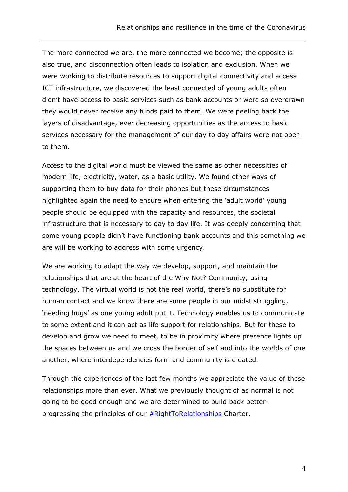The more connected we are, the more connected we become; the opposite is also true, and disconnection often leads to isolation and exclusion. When we were working to distribute resources to support digital connectivity and access ICT infrastructure, we discovered the least connected of young adults often didn't have access to basic services such as bank accounts or were so overdrawn they would never receive any funds paid to them. We were peeling back the layers of disadvantage, ever decreasing opportunities as the access to basic services necessary for the management of our day to day affairs were not open to them.

Access to the digital world must be viewed the same as other necessities of modern life, electricity, water, as a basic utility. We found other ways of supporting them to buy data for their phones but these circumstances highlighted again the need to ensure when entering the 'adult world' young people should be equipped with the capacity and resources, the societal infrastructure that is necessary to day to day life. It was deeply concerning that some young people didn't have functioning bank accounts and this something we are will be working to address with some urgency.

We are working to adapt the way we develop, support, and maintain the relationships that are at the heart of the Why Not? Community, using technology. The virtual world is not the real world, there's no substitute for human contact and we know there are some people in our midst struggling, 'needing hugs' as one young adult put it. Technology enables us to communicate to some extent and it can act as life support for relationships. But for these to develop and grow we need to meet, to be in proximity where presence lights up the spaces between us and we cross the border of self and into the worlds of one another, where interdependencies form and community is created.

Through the experiences of the last few months we appreciate the value of these relationships more than ever. What we previously thought of as normal is not going to be good enough and we are determined to build back betterprogressing the principles of our **#RightToRelationships** Charter.

4